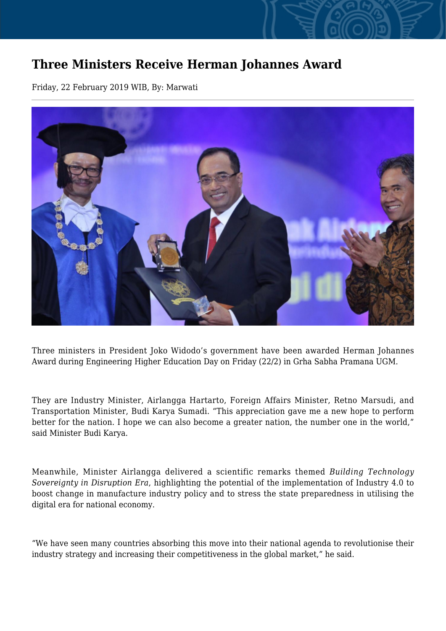## **Three Ministers Receive Herman Johannes Award**

Friday, 22 February 2019 WIB, By: Marwati



Three ministers in President Joko Widodo's government have been awarded Herman Johannes Award during Engineering Higher Education Day on Friday (22/2) in Grha Sabha Pramana UGM.

They are Industry Minister, Airlangga Hartarto, Foreign Affairs Minister, Retno Marsudi, and Transportation Minister, Budi Karya Sumadi. "This appreciation gave me a new hope to perform better for the nation. I hope we can also become a greater nation, the number one in the world," said Minister Budi Karya.

Meanwhile, Minister Airlangga delivered a scientific remarks themed *Building Technology Sovereignty in Disruption Era*, highlighting the potential of the implementation of Industry 4.0 to boost change in manufacture industry policy and to stress the state preparedness in utilising the digital era for national economy.

"We have seen many countries absorbing this move into their national agenda to revolutionise their industry strategy and increasing their competitiveness in the global market," he said.